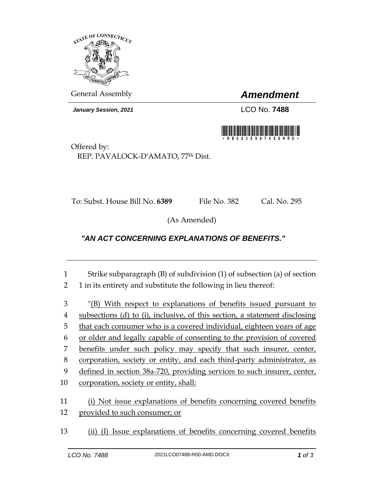

*January Session, 2021* LCO No. **7488**

General Assembly *Amendment*



Offered by: REP. PAVALOCK-D'AMATO, 77th Dist.

To: Subst. House Bill No. **6389** File No. 382 Cal. No. 295

(As Amended)

## *"AN ACT CONCERNING EXPLANATIONS OF BENEFITS."*

| 1              | Strike subparagraph $(B)$ of subdivision $(1)$ of subsection $(a)$ of section                       |
|----------------|-----------------------------------------------------------------------------------------------------|
| $\overline{2}$ | 1 in its entirety and substitute the following in lieu thereof:                                     |
| 3              | "(B) With respect to explanations of benefits issued pursuant to                                    |
| $\overline{4}$ | subsections (d) to (i), inclusive, of this section, a statement disclosing                          |
| 5              | that each consumer who is a covered individual, eighteen years of age                               |
| 6              | or older and legally capable of consenting to the provision of covered                              |
| 7              | benefits under such policy may specify that such insurer, center,                                   |
| 8              | corporation, society or entity, and each third-party administrator, as                              |
| 9              | defined in section 38a-720, providing services to such insurer, center,                             |
| 10             | corporation, society or entity, shall:                                                              |
| 11<br>12       | (i) Not issue explanations of benefits concerning covered benefits<br>provided to such consumer; or |
| 13             | Issue explanations of benefits concerning covered benefits                                          |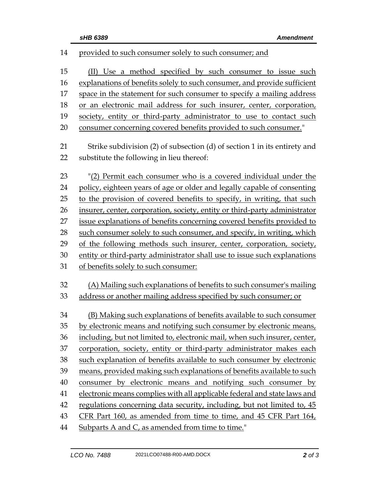| 14     | provided to such consumer solely to such consumer; and                     |
|--------|----------------------------------------------------------------------------|
| 15     | (II) Use a method specified by such consumer to issue such                 |
| 16     | explanations of benefits solely to such consumer, and provide sufficient   |
| 17     | space in the statement for such consumer to specify a mailing address      |
| 18     | or an electronic mail address for such insurer, center, corporation,       |
| 19     | society, entity or third-party administrator to use to contact such        |
| 20     | consumer concerning covered benefits provided to such consumer."           |
|        |                                                                            |
| 21     | Strike subdivision (2) of subsection (d) of section 1 in its entirety and  |
| 22     | substitute the following in lieu thereof:                                  |
| 23     | "(2) Permit each consumer who is a covered individual under the            |
| 24     | policy, eighteen years of age or older and legally capable of consenting   |
| 25     | to the provision of covered benefits to specify, in writing, that such     |
| 26     | insurer, center, corporation, society, entity or third-party administrator |
| 27     | issue explanations of benefits concerning covered benefits provided to     |
| 28     | such consumer solely to such consumer, and specify, in writing, which      |
| 29     | of the following methods such insurer, center, corporation, society,       |
| 30     | entity or third-party administrator shall use to issue such explanations   |
| 31     | of benefits solely to such consumer:                                       |
| 32     | (A) Mailing such explanations of benefits to such consumer's mailing       |
| 33     | address or another mailing address specified by such consumer; or          |
|        |                                                                            |
| 34     | (B) Making such explanations of benefits available to such consumer        |
| $35\,$ | by electronic means and notifying such consumer by electronic means,       |
| 36     | including, but not limited to, electronic mail, when such insurer, center, |
| 37     | corporation, society, entity or third-party administrator makes each       |
| 38     | such explanation of benefits available to such consumer by electronic      |
| 39     | means, provided making such explanations of benefits available to such     |
| 40     | consumer by electronic means and notifying such consumer by                |
| 41     | electronic means complies with all applicable federal and state laws and   |
| 42     | regulations concerning data security, including, but not limited to, 45    |
| 43     | CFR Part 160, as amended from time to time, and 45 CFR Part 164,           |
| 44     | Subparts A and C, as amended from time to time."                           |